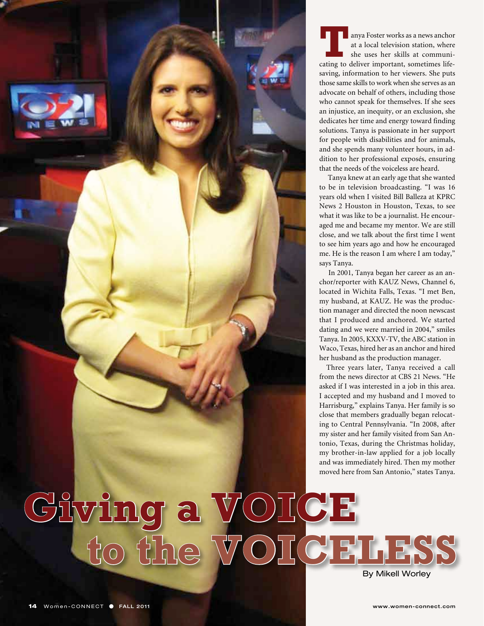

**Tanya Foster works as a news anchor**<br>
at a local television station, where<br>
she uses her skills at communi-<br>
cating to deliver important, sometimes lifeat a local television station, where she uses her skills at communisaving, information to her viewers. She puts those same skills to work when she serves as an advocate on behalf of others, including those who cannot speak for themselves. If she sees an injustice, an inequity, or an exclusion, she dedicates her time and energy toward finding solutions. Tanya is passionate in her support for people with disabilities and for animals, and she spends many volunteer hours, in addition to her professional exposés, ensuring that the needs of the voiceless are heard.

 Tanya knew at an early age that she wanted to be in television broadcasting. "I was 16 years old when I visited Bill Balleza at KPRC News 2 Houston in Houston, Texas, to see what it was like to be a journalist. He encouraged me and became my mentor. We are still close, and we talk about the first time I went to see him years ago and how he encouraged me. He is the reason I am where I am today," says Tanya.

 In 2001, Tanya began her career as an anchor/reporter with KAUZ News, Channel 6, located in Wichita Falls, Texas. "I met Ben, my husband, at KAUZ. He was the production manager and directed the noon newscast that I produced and anchored. We started dating and we were married in 2004," smiles Tanya. In 2005, KXXV-TV, the ABC station in Waco, Texas, hired her as an anchor and hired her husband as the production manager.

Three years later, Tanya received a call from the news director at CBS 21 News. "He asked if I was interested in a job in this area. I accepted and my husband and I moved to Harrisburg," explains Tanya. Her family is so close that members gradually began relocating to Central Pennsylvania. "In 2008, after my sister and her family visited from San Antonio, Texas, during the Christmas holiday, my brother-in-law applied for a job locally and was immediately hired. Then my mother moved here from San Antonio," states Tanya.

By Mikell Worley